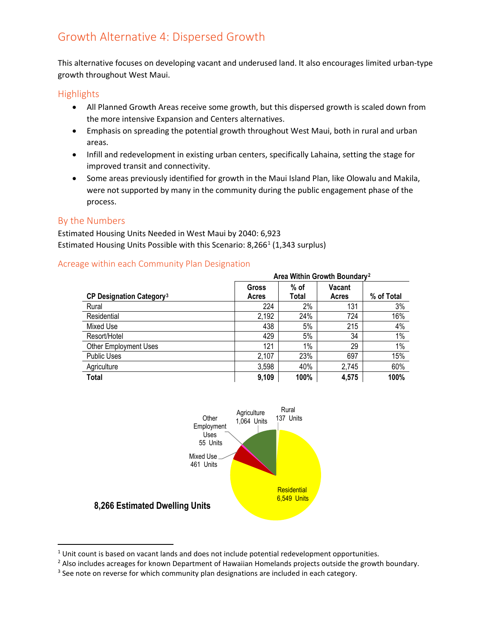# Growth Alternative 4: Dispersed Growth

This alternative focuses on developing vacant and underused land. It also encourages limited urban-type growth throughout West Maui.

## **Highlights**

- All Planned Growth Areas receive some growth, but this dispersed growth is scaled down from the more intensive Expansion and Centers alternatives.
- Emphasis on spreading the potential growth throughout West Maui, both in rural and urban areas.
- Infill and redevelopment in existing urban centers, specifically Lahaina, setting the stage for improved transit and connectivity.
- Some areas previously identified for growth in the Maui Island Plan, like Olowalu and Makila, were not supported by many in the community during the public engagement phase of the process.

### By the Numbers

Estimated Housing Units Needed in West Maui by 2040: 6,923 Estimated Housing Units Possible with this Scenario: 8,266<sup>[1](#page-0-0)</sup> (1,343 surplus)

### Acreage within each Community Plan Designation

|                                            | Area Within Growth Boundary <sup>2</sup> |        |        |            |
|--------------------------------------------|------------------------------------------|--------|--------|------------|
|                                            | Gross                                    | $%$ of | Vacant |            |
| <b>CP Designation Category<sup>3</sup></b> | Acres                                    | Total  | Acres  | % of Total |
| Rural                                      | 224                                      | 2%     | 131    | 3%         |
| Residential                                | 2,192                                    | 24%    | 724    | 16%        |
| Mixed Use                                  | 438                                      | 5%     | 215    | 4%         |
| Resort/Hotel                               | 429                                      | 5%     | 34     | 1%         |
| <b>Other Employment Uses</b>               | 121                                      | 1%     | 29     | $1\%$      |
| <b>Public Uses</b>                         | 2,107                                    | 23%    | 697    | 15%        |
| Agriculture                                | 3,598                                    | 40%    | 2,745  | 60%        |
| <b>Total</b>                               | 9,109                                    | 100%   | 4,575  | 100%       |



<span id="page-0-0"></span> $<sup>1</sup>$  Unit count is based on vacant lands and does not include potential redevelopment opportunities.</sup>

<span id="page-0-1"></span><sup>&</sup>lt;sup>2</sup> Also includes acreages for known Department of Hawaiian Homelands projects outside the growth boundary.

<span id="page-0-2"></span> $3$  See note on reverse for which community plan designations are included in each category.